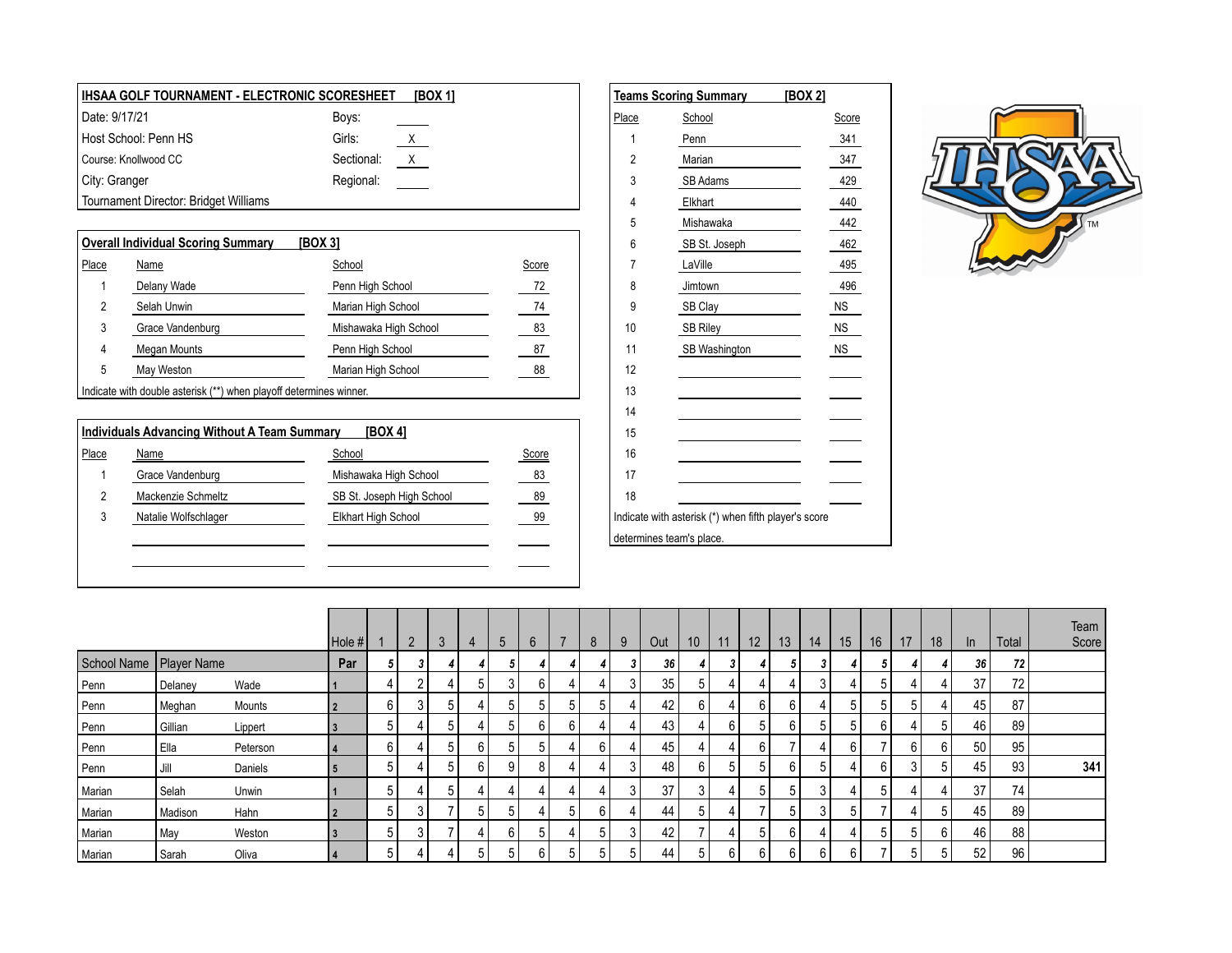| ∣ IHSAA GOLF TOURNAMENT - ELECTRONIC SCORESHEET |            | [BOX 1]         |       | <b>Teams Scoring Summary</b> | [BOX 2] |
|-------------------------------------------------|------------|-----------------|-------|------------------------------|---------|
| Date: 9/17/21                                   | Boys:      |                 | Place | School                       | Score   |
| Host School: Penn HS                            | Girls:     | $\underline{X}$ |       | Penn                         | 341     |
| Course: Knollwood CC                            | Sectional: | $\mathsf{X}$    |       | Marian                       | 347     |
| City: Granger                                   | Regional:  |                 |       | SB Adams                     | 429     |
| Tournament Director: Bridget Williams           |            |                 |       | Elkhart                      | 440     |
|                                                 |            |                 |       | Mishawaka                    | 442     |
| Overall Individual Scoring Summary              | [BOX 3]    |                 |       | SB St. Joseph                | 462     |

|                     |                                                                                                                                                                                                                                                              | $1 - 1 - 1$           |       | $\cdot$         | <b>OD OF DOODLI</b> | ≖∪⊷       |
|---------------------|--------------------------------------------------------------------------------------------------------------------------------------------------------------------------------------------------------------------------------------------------------------|-----------------------|-------|-----------------|---------------------|-----------|
| Place               | <b>Name</b>                                                                                                                                                                                                                                                  | School                | Score |                 | LaVille             | 495       |
|                     | Delany Wade                                                                                                                                                                                                                                                  | Penn High School      | 72    |                 | Jimtown             | 496       |
|                     | Selah Unwin                                                                                                                                                                                                                                                  | Marian High School    | 74    |                 | SB Clay             | <b>NS</b> |
| J                   | Grace Vandenburg                                                                                                                                                                                                                                             | Mishawaka High School | 83    | 10              | <b>SB Riley</b>     | <b>NS</b> |
| 4                   | Megan Mounts                                                                                                                                                                                                                                                 | Penn High School      | 87    |                 | SB Washington       | <b>NS</b> |
| э                   | May Weston                                                                                                                                                                                                                                                   | Marian High School    | 88    | 12              |                     |           |
| <b>State Street</b> | <b>Participal and the Company of the Company of the Company of the Company of the Company of the Company of the Company of the Company of the Company of the Company of the Company of the Company of the Company of the Company</b><br>$\sim$ $\sim$ $\sim$ |                       |       | $\overline{10}$ |                     |           |

Indicate with double asterisk (\*\*) when playoff determines winner.

|       | Individuals Advancing Without A Team Summary | [BOX 4]                   |              | 15                                                   |
|-------|----------------------------------------------|---------------------------|--------------|------------------------------------------------------|
| Place | <b>Name</b>                                  | School                    | <b>Score</b> | 16                                                   |
|       | Grace Vandenburg                             | Mishawaka High School     | 83           | 17                                                   |
|       | Mackenzie Schmeltz                           | SB St. Joseph High School | 89           | 18                                                   |
|       | Natalie Wolfschlager                         | Elkhart High School       | 99           | Indicate with asterisk (*) when fifth player's score |
|       |                                              |                           |              | determines team's place.                             |
|       |                                              |                           |              |                                                      |
|       |                                              |                           |              |                                                      |

|                          | <u><b>Teams Scoring Summary [BOX 2]</b></u>                                                                                                                                                                                                     |           |
|--------------------------|-------------------------------------------------------------------------------------------------------------------------------------------------------------------------------------------------------------------------------------------------|-----------|
| Place                    | School                                                                                                                                                                                                                                          | Score     |
| 1                        | Penn                                                                                                                                                                                                                                            | 341       |
| $\overline{2}$           | Marian                                                                                                                                                                                                                                          | 347       |
| 3                        | SB Adams                                                                                                                                                                                                                                        | 429       |
| 4                        | Elkhart                                                                                                                                                                                                                                         | 440       |
| 5                        | Mishawaka                                                                                                                                                                                                                                       | 442       |
| 6                        | SB St. Joseph                                                                                                                                                                                                                                   | 462       |
| 7                        | LaVille                                                                                                                                                                                                                                         | 495       |
| 8                        | Jimtown                                                                                                                                                                                                                                         | 496       |
| 9                        | SB Clay<br><u> The Community of the Community of the Community of the Community of the Community of the Community of the Community of the Community of the Community of the Community of the Community of the Community of the Community of</u> | <b>NS</b> |
| 10                       | <b>SB Riley</b>                                                                                                                                                                                                                                 | NS.       |
| 11                       | SB Washington                                                                                                                                                                                                                                   | <b>NS</b> |
| 12                       |                                                                                                                                                                                                                                                 |           |
| 13                       |                                                                                                                                                                                                                                                 |           |
| 14                       |                                                                                                                                                                                                                                                 |           |
| 15                       |                                                                                                                                                                                                                                                 |           |
| 16                       |                                                                                                                                                                                                                                                 |           |
| 17                       |                                                                                                                                                                                                                                                 |           |
| 18                       |                                                                                                                                                                                                                                                 |           |
|                          | Indicate with asterisk (*) when fifth player's score                                                                                                                                                                                            |           |
| determines team's place. |                                                                                                                                                                                                                                                 |           |



|                           |         |          | Hole # |   | $\overline{2}$ | $\mathbf{3}$ | 4  | 5      | 6 |   | 8 | 9  | Out             | 10 | 11          | 12 | 13 | 14 | 15 | 16             | 17 | 18 | ln | Total | Team<br>Score |
|---------------------------|---------|----------|--------|---|----------------|--------------|----|--------|---|---|---|----|-----------------|----|-------------|----|----|----|----|----------------|----|----|----|-------|---------------|
| School Name   Player Name |         |          | Par    |   |                | 4            |    | 5      |   |   |   |    | 36 <sub>1</sub> |    | ົ           |    |    |    |    |                |    |    | 36 | 72    |               |
| Penn                      | Delaney | Wade     |        | 4 |                | 4            | .5 | $\sim$ | 6 |   |   | 3  | 35              | 5  |             | 4  |    |    |    |                | 4  |    | 37 | 72    |               |
| Penn                      | Meghan  | Mounts   |        | 6 |                | 5            |    | 5      |   |   | 5 |    | 42              | 6  |             | 6  | h  |    | 5  |                | 5  |    | 45 | 87    |               |
| Penn                      | Gillian | Lippert  | 3      | 5 |                | 5            |    | h.     | 6 | h |   |    | 43              |    |             | 5  | h  |    | 5  |                |    |    | 46 | 89    |               |
| Penn                      | Ella    | Peterson |        | 6 |                | 5            | 6  | 5      |   |   | հ |    | 45              |    |             | 6  |    |    | 6  |                | 6  |    | 50 | 95    |               |
| Penn                      | Jill    | Daniels  |        | 5 |                | 5            | 6  | Q      | 8 |   |   | ્ર | 48              | ĥ  |             | 5  | 6  |    |    |                | 3  |    | 45 | 93    | 341           |
| Marian                    | Selah   | Unwin    |        | 5 |                | 5            |    |        |   |   | 4 | 3  | 37              | 3  |             | 5  |    |    |    | 5 <sup>1</sup> | 4  |    | 37 | 74    |               |
| Marian                    | Madison | Hahn     |        | 5 |                |              | 5  | 5      |   |   | 6 |    | 44              | 5  |             |    |    |    | 5  |                | 4  | 5  | 45 | 89    |               |
| Marian                    | May     | Weston   | 3      | 5 |                | 7            |    | 6      | 5 |   | 5 | 3  | 42              |    |             | 5  | 6  |    |    | 5              | 5  | 6  | 46 | 88    |               |
| Marian                    | Sarah   | Oliva    | 4      | 5 |                |              |    | 5      | 6 |   | 5 | 5  | 44              | 5  | $\sim$<br>ь | 6  | 6  | 6  | 6  |                | 5  |    | 52 | 96    |               |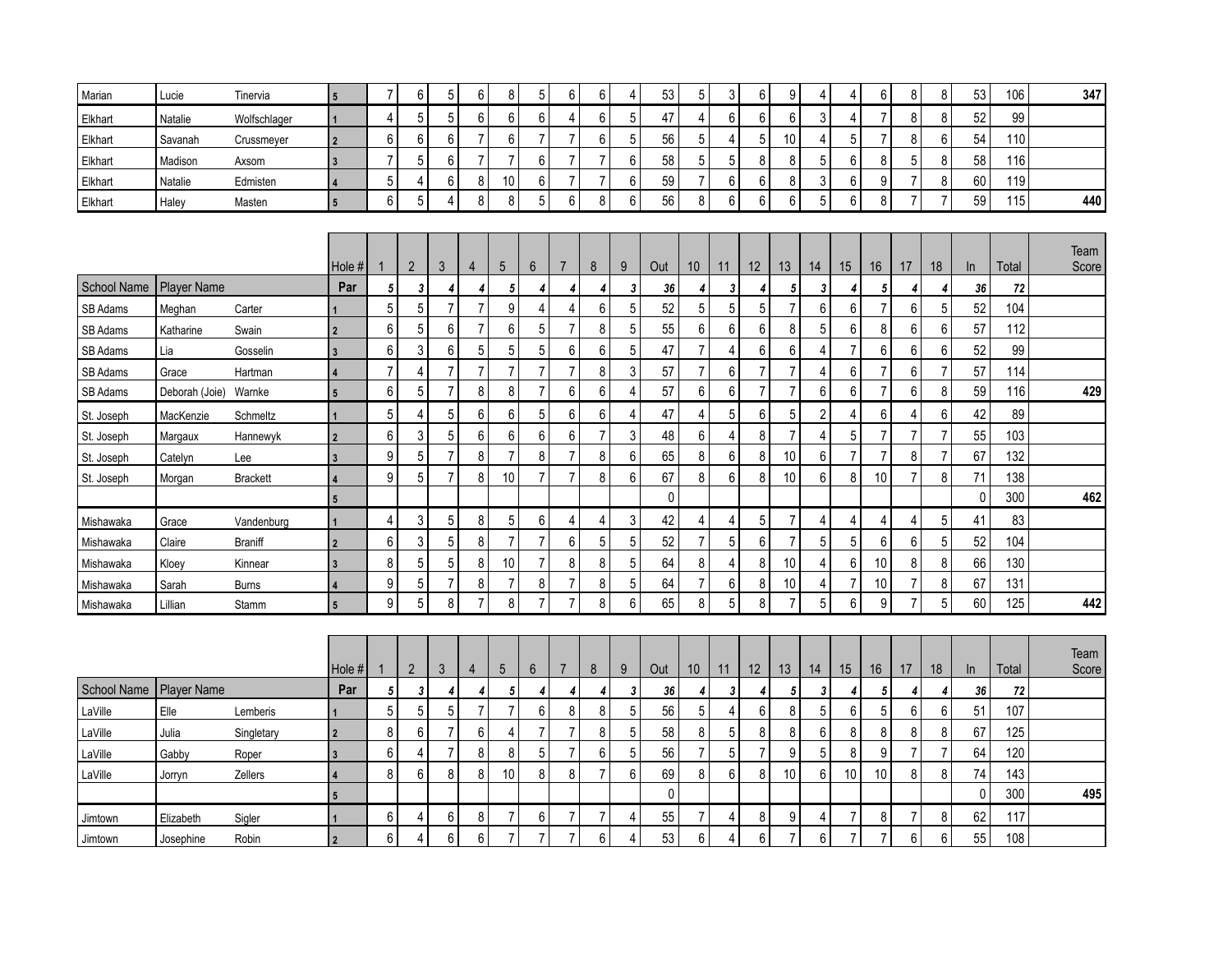| Marian           | Lucie              | Tinervia        | $5\phantom{1}$          | $\overline{7}$  | 6              | 5              | 6              | 8                | 5              | 6              | 6              | 4               | 53        | $\mathbf 5$     | 3                | 6              | 9              | 4              | 4               | 6                | 8                | 8              | 53           | 106   | 347   |
|------------------|--------------------|-----------------|-------------------------|-----------------|----------------|----------------|----------------|------------------|----------------|----------------|----------------|-----------------|-----------|-----------------|------------------|----------------|----------------|----------------|-----------------|------------------|------------------|----------------|--------------|-------|-------|
| Elkhart          | Natalie            | Wolfschlager    |                         | $\overline{4}$  | 5              | 5              | $\,6\,$        | 6                | 6              | 4              | 6              | $\sqrt{5}$      | 47        | $\overline{4}$  | $6\,$            | 6              | 6              | 3              | $\overline{4}$  | $\overline{7}$   | 8                | 8              | 52           | 99    |       |
| Elkhart          | Savanah            | Crussmeyer      | $\overline{2}$          | 6               | 6              | 6              | $\overline{7}$ | 6                | 7              | 7              | 6              | 5               | 56        | 5               | 4                | 5              | 10             | 4              | 5               | $\overline{7}$   | 8                | 6              | 54           | 110   |       |
| Elkhart          | Madison            | Axsom           | $\overline{\mathbf{3}}$ | $\overline{7}$  | 5              | 6              | $\overline{7}$ | $\overline{7}$   | 6              | $\overline{7}$ | $\overline{7}$ | $\,6\,$         | 58        | $\sqrt{5}$      | 5                | 8              | 8              | 5              | 6               | 8                | 5                | 8              | 58           | 116   |       |
| Elkhart          | Natalie            | Edmisten        | 4                       | 5               | 4              | 6              | 8              | 10               | 6              | $\overline{7}$ | $\overline{7}$ | $\,6\,$         | 59        | $\overline{7}$  | $\boldsymbol{6}$ | 6              | 8              | 3              | $\,6\,$         | $\boldsymbol{9}$ | $\overline{7}$   | 8              | 60           | 119   |       |
| Elkhart          | Haley              | Masten          | $5\phantom{.0}$         | 6               | 5              | $\overline{4}$ | 8              | 8                | 5              | 6              | 8              | $6\phantom{1}6$ | 56        | 8               | $6\,$            | 6              | 6              | 5              | $6\phantom{1}6$ | 8                | $\overline{7}$   | $\overline{7}$ | 59           | 115   | 440   |
|                  |                    |                 |                         |                 |                |                |                |                  |                |                |                |                 |           |                 |                  |                |                |                |                 |                  |                  |                |              |       |       |
|                  |                    |                 |                         |                 |                |                |                |                  |                |                |                |                 |           |                 |                  |                |                |                |                 |                  |                  |                |              |       | Team  |
|                  |                    |                 | Hole #                  | 1               | $\overline{2}$ | $\mathfrak{Z}$ | 4              | 5                | 6              | $\overline{7}$ | 8              | 9               | Out       | 10 <sup>°</sup> | 11               | 12             | 13             | 14             | 15              | 16               | 17               | 18             | In           | Total | Score |
| School Name      | <b>Player Name</b> |                 | Par                     | 5               | 3              | $\overline{4}$ | 4              | 5                | 4              |                | 4              | 3               | 36        | 4               | 3                | 4              | 5              | 3              | 4               | 5                | 4                |                | 36           | 72    |       |
| SB Adams         | Meghan             | Carter          |                         | 5               | 5              | $\overline{7}$ | $\overline{7}$ | 9                | 4              | 4              | 6              | 5               | 52        | 5               | 5                | 5              | $\overline{7}$ | $6\phantom{a}$ | 6               | $\overline{7}$   | 6                | 5              | 52           | 104   |       |
| SB Adams         | Katharine          | Swain           | $\overline{2}$          | 6               | 5              | 6              | $\overline{7}$ | 6                | 5              | $\overline{7}$ | 8              | 5               | 55        | $\,6\,$         | 6                | 6              | 8              | 5              | 6               | 8                | 6                | 6              | 57           | 112   |       |
| SB Adams         | Lia                | Gosselin        | $\overline{\mathbf{3}}$ | $6\phantom{1}6$ | 3              | 6              | $\overline{5}$ | 5                | 5              | 6              | 6              | $\overline{5}$  | 47        | $\overline{7}$  | $\overline{4}$   | 6              | 6              | $\overline{4}$ | $\overline{7}$  | $\boldsymbol{6}$ | $\boldsymbol{6}$ | 6              | 52           | 99    |       |
| SB Adams         | Grace              | Hartman         | 4                       | $\overline{7}$  | 4              | $\overline{7}$ | $\overline{7}$ | $\overline{7}$   | $\overline{7}$ | $\overline{7}$ | 8              | $\mathbf{3}$    | 57        | $\overline{7}$  | $6\,$            | $\overline{7}$ | $\overline{7}$ | 4              | 6               | $\overline{7}$   | $\boldsymbol{6}$ | $\overline{7}$ | 57           | 114   |       |
| SB Adams         | Deborah (Joie)     | Warnke          | 5                       | $6\phantom{1}6$ | 5              | $\overline{7}$ | 8              | $\bf 8$          | $\overline{7}$ | 6              | $6\phantom{a}$ | $\overline{4}$  | 57        | $6\phantom{a}$  | $6\,$            | $\overline{7}$ | $\overline{7}$ | 6              | $6\phantom{a}$  | $\overline{7}$   | $\,6$            | 8              | 59           | 116   | 429   |
| St. Joseph       | MacKenzie          | Schmeltz        | 1                       | 5               | 4              | 5              | $\,6\,$        | $\boldsymbol{6}$ | 5              | 6              | 6              | $\overline{4}$  | 47        | $\overline{4}$  | $\mathbf 5$      | 6              | 5              | $\sqrt{2}$     | $\overline{4}$  | $\boldsymbol{6}$ | $\overline{4}$   | 6              | 42           | 89    |       |
| St. Joseph       | Margaux            | Hannewyk        | $\overline{2}$          | 6               | 3              | $5\,$          | $\,6\,$        | $6\,$            | 6              | 6              | $\overline{7}$ | $\mathfrak{Z}$  | 48        | $\,6\,$         | $\overline{4}$   | 8              | $\overline{7}$ | $\overline{4}$ | 5               | $\overline{7}$   | $\overline{7}$   | 7              | 55           | 103   |       |
| St. Joseph       | Catelyn            | Lee             | $\overline{3}$          | 9               | 5              | $\overline{7}$ | 8              | $\overline{7}$   | 8              | $\overline{7}$ | 8              | $6\,$           | 65        | $\bf 8$         | $6\,$            | 8              | 10             | 6              | $\overline{7}$  | $\overline{7}$   | 8                | $\overline{7}$ | 67           | 132   |       |
| St. Joseph       | Morgan             | <b>Brackett</b> | $\overline{4}$          | 9               | 5              | $\overline{7}$ | 8              | 10               | 7              | 7              | 8              | $6\phantom{1}6$ | 67        | 8               | 6                | 8              | 10             | 6              | 8               | 10               | $\overline{7}$   | 8              | 71           | 138   |       |
|                  |                    |                 | $5\phantom{.0}$         |                 |                |                |                |                  |                |                |                |                 | $\pmb{0}$ |                 |                  |                |                |                |                 |                  |                  |                | $\mathbf{0}$ | 300   | 462   |
| Mishawaka        | Grace              | Vandenburg      | 1                       | 4               | 3              | 5              | 8              | 5                | 6              | 4              | $\overline{4}$ | $\sqrt{3}$      | 42        | 4               | $\overline{4}$   | 5              | $\overline{7}$ | $\overline{4}$ | 4               | $\overline{4}$   | 4                | 5              | 41           | 83    |       |
| Mishawaka        | Claire             | <b>Braniff</b>  | $\overline{2}$          | $\,6$           | 3              | 5              | 8              | $\overline{7}$   | $\overline{7}$ | 6              | 5              | $\sqrt{5}$      | 52        | $\overline{7}$  | 5                | $\,6$          | $\overline{7}$ | 5              | 5               | $6\phantom{1}$   | $\,6$            | 5              | 52           | 104   |       |
| Mishawaka        | Kloey              | Kinnear         | $\overline{3}$          | 8               | 5              | 5              | 8              | 10               | $\overline{7}$ | 8              | 8              | 5               | 64        | 8               | $\overline{4}$   | 8              | 10             | 4              | $\,6$           | 10               | 8                | 8              | 66           | 130   |       |
| <b>Mishawaka</b> | Sarah              | <b>Burns</b>    | 4                       | 9               | 5              | $\overline{7}$ | 8              | $\overline{7}$   | 8              | 7              | 8              | 5               | 64        | $\overline{7}$  | $\boldsymbol{6}$ | 8              | 10             | 4              | $\overline{7}$  | 10               | $\overline{7}$   | 8              | 67           | 131   |       |
| Mishawaka        | Lillian            | Stamm           | 5                       | 9               | 5              | 8              | $\overline{7}$ | 8                | $\overline{7}$ | $\overline{7}$ | 8              | $6\phantom{a}$  | 65        | $\bf 8$         | 5                | 8              | $\overline{7}$ | 5              | $6\phantom{1}6$ | 9                | $\overline{7}$   | 5              | 60           | 125   | 442   |
|                  |                    |                 |                         |                 |                |                |                |                  |                |                |                |                 |           |                 |                  |                |                |                |                 |                  |                  |                |              |       |       |
|                  |                    |                 |                         |                 |                |                |                |                  |                |                |                |                 |           |                 |                  |                |                |                |                 |                  |                  |                |              |       | Team  |
|                  |                    |                 | Hole #l                 | $\mathbf{1}$    | $\overline{2}$ | 3              | 4              | 5                | $6\phantom{.}$ | $\overline{7}$ | 8              | 9               | Out       | 10 <sup>°</sup> | 11               | 12             | 13             | 14             | 15              | 16               | 17               | 18             | In           | Total | Score |
| School Name      | Player Name        |                 | Par                     | 5               | 3              | 4              | 4              | 5                | 4              | 4              | 4              | 3               | 36        | 4               | 3                | 4              | 5              | 3              | 4               | 5                | 4                | 4              | 36           | 72    |       |
| LaVille          | Elle               | Lemberis        | 1                       | 5               | 5              | 5              | $\overline{7}$ | $\overline{7}$   | 6              | 8              | 8              | 5               | 56        | 5               | $\overline{4}$   | 6              | 8              | 5              | 6               | 5                | 6                | 6              | 51           | 107   |       |
| LaVille          | Julia              | Singletary      | $\overline{2}$          | 8               | 6              | $\overline{7}$ | 6              | 4                | $\overline{7}$ | 7              | 8              | $5\phantom{.0}$ | 58        | 8               | 5                | 8              | 8              | $6\phantom{a}$ | 8               | 8                | 8                | 8              | 67           | 125   |       |
| LaVille          | Gabby              | Roper           | $\overline{3}$          | 6               | 4              | $\overline{7}$ | 8              | 8                | 5              | 7              | 6              | $\sqrt{5}$      | 56        | $\overline{7}$  | 5                | $\overline{7}$ | 9              | 5              | $\bf 8$         | $\boldsymbol{9}$ | $\overline{7}$   | 7              | 64           | 120   |       |
| LaVille          | Jorryn             | Zellers         | $\overline{\mathbf{A}}$ | 8               | 6              | 8              | 8              | 10               | 8              | 8              | $\overline{7}$ | $6\phantom{1}6$ | 69        | $\bf 8$         | $6\,$            | 8              | 10             | 6              | 10              | 10               | 8                | 8              | 74           | 143   |       |
|                  |                    |                 | 5                       |                 |                |                |                |                  |                |                |                |                 | 0         |                 |                  |                |                |                |                 |                  |                  |                | $\mathbf 0$  | 300   | 495   |
| Jimtown          | Elizabeth          | Sigler          | 1                       | 6               | 4              | 6              | 8              | $\overline{7}$   | 6              | $\overline{7}$ | $\overline{7}$ | $\overline{4}$  | 55        | $\overline{7}$  | 4                | 8              | 9              | 4              | $\overline{7}$  | 8                | $\overline{7}$   | 8              | 62           | 117   |       |
| Jimtown          | Josephine          | Robin           | $\overline{2}$          | 6               | 4              | $6\,$          | 6              | $\overline{7}$   | $\overline{7}$ | $\overline{7}$ | $6\,$          | 4               | 53        | 6               | $\overline{4}$   | 6              | $\overline{7}$ | $6\,$          | $\overline{7}$  | $\overline{7}$   | $\boldsymbol{6}$ | 6              | 55           | 108   |       |